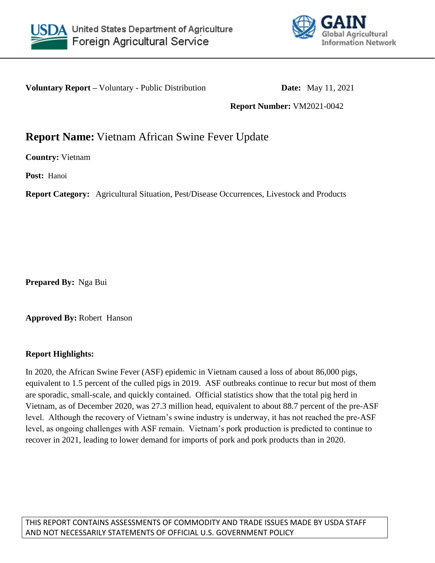



**Voluntary Report –** Voluntary - Public Distribution **Date:** May 11, 2021

**Report Number:** VM2021-0042

# **Report Name:** Vietnam African Swine Fever Update

**Country:** Vietnam

**Post:** Hanoi

**Report Category:** Agricultural Situation, Pest/Disease Occurrences, Livestock and Products

**Prepared By:** Nga Bui

**Approved By:** Robert Hanson

### **Report Highlights:**

In 2020, the African Swine Fever (ASF) epidemic in Vietnam caused a loss of about 86,000 pigs, equivalent to 1.5 percent of the culled pigs in 2019. ASF outbreaks continue to recur but most of them are sporadic, small-scale, and quickly contained. Official statistics show that the total pig herd in Vietnam, as of December 2020, was 27.3 million head, equivalent to about 88.7 percent of the pre-ASF level. Although the recovery of Vietnam's swine industry is underway, it has not reached the pre-ASF level, as ongoing challenges with ASF remain. Vietnam's pork production is predicted to continue to recover in 2021, leading to lower demand for imports of pork and pork products than in 2020.

THIS REPORT CONTAINS ASSESSMENTS OF COMMODITY AND TRADE ISSUES MADE BY USDA STAFF AND NOT NECESSARILY STATEMENTS OF OFFICIAL U.S. GOVERNMENT POLICY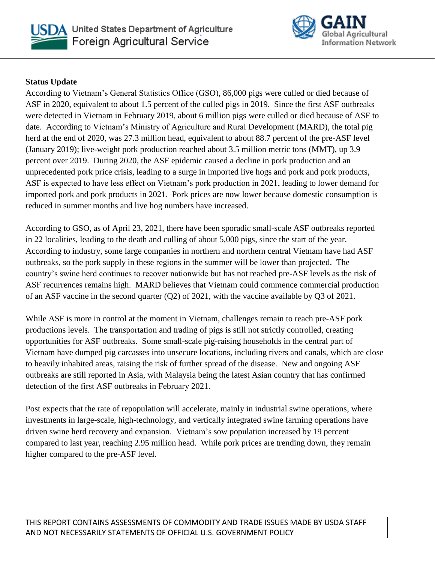



# **Status Update**

According to Vietnam's General Statistics Office (GSO), 86,000 pigs were culled or died because of ASF in 2020, equivalent to about 1.5 percent of the culled pigs in 2019. Since the first ASF outbreaks were detected in Vietnam in February 2019, about 6 million pigs were culled or died because of ASF to date. According to Vietnam's Ministry of Agriculture and Rural Development (MARD), the total pig herd at the end of 2020, was 27.3 million head, equivalent to about 88.7 percent of the pre-ASF level (January 2019); live-weight pork production reached about 3.5 million metric tons (MMT), up 3.9 percent over 2019. During 2020, the ASF epidemic caused a decline in pork production and an unprecedented pork price crisis, leading to a surge in imported live hogs and pork and pork products, ASF is expected to have less effect on Vietnam's pork production in 2021, leading to lower demand for imported pork and pork products in 2021. Pork prices are now lower because domestic consumption is reduced in summer months and live hog numbers have increased.

According to GSO, as of April 23, 2021, there have been sporadic small-scale ASF outbreaks reported in 22 localities, leading to the death and culling of about 5,000 pigs, since the start of the year. According to industry, some large companies in northern and northern central Vietnam have had ASF outbreaks, so the pork supply in these regions in the summer will be lower than projected. The country's swine herd continues to recover nationwide but has not reached pre-ASF levels as the risk of ASF recurrences remains high. MARD believes that Vietnam could commence commercial production of an ASF vaccine in the second quarter (Q2) of 2021, with the vaccine available by Q3 of 2021.

While ASF is more in control at the moment in Vietnam, challenges remain to reach pre-ASF pork productions levels. The transportation and trading of pigs is still not strictly controlled, creating opportunities for ASF outbreaks. Some small-scale pig-raising households in the central part of Vietnam have dumped pig carcasses into unsecure locations, including rivers and canals, which are close to heavily inhabited areas, raising the risk of further spread of the disease. New and ongoing ASF outbreaks are still reported in Asia, with Malaysia being the latest Asian country that has confirmed detection of the first ASF outbreaks in February 2021.

Post expects that the rate of repopulation will accelerate, mainly in industrial swine operations, where investments in large-scale, high-technology, and vertically integrated swine farming operations have driven swine herd recovery and expansion. Vietnam's sow population increased by 19 percent compared to last year, reaching 2.95 million head. While pork prices are trending down, they remain higher compared to the pre-ASF level.

THIS REPORT CONTAINS ASSESSMENTS OF COMMODITY AND TRADE ISSUES MADE BY USDA STAFF AND NOT NECESSARILY STATEMENTS OF OFFICIAL U.S. GOVERNMENT POLICY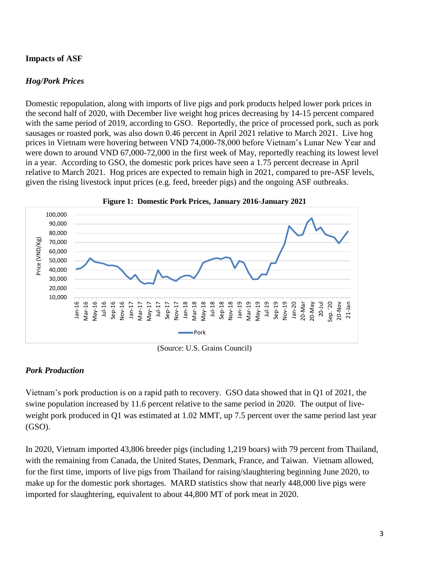# **Impacts of ASF**

# *Hog/Pork Prices*

Domestic repopulation, along with imports of live pigs and pork products helped lower pork prices in the second half of 2020, with December live weight hog prices decreasing by 14-15 percent compared with the same period of 2019, according to GSO. Reportedly, the price of processed pork, such as pork sausages or roasted pork, was also down 0.46 percent in April 2021 relative to March 2021. Live hog prices in Vietnam were hovering between VND 74,000-78,000 before Vietnam's Lunar New Year and were down to around VND 67,000-72,000 in the first week of May, reportedly reaching its lowest level in a year. According to GSO, the domestic pork prices have seen a 1.75 percent decrease in April relative to March 2021. Hog prices are expected to remain high in 2021, compared to pre-ASF levels, given the rising livestock input prices (e.g. feed, breeder pigs) and the ongoing ASF outbreaks.



(Source: U.S. Grains Council)

### *Pork Production*

Vietnam's pork production is on a rapid path to recovery. GSO data showed that in Q1 of 2021, the swine population increased by 11.6 percent relative to the same period in 2020. The output of liveweight pork produced in O1 was estimated at 1.02 MMT, up 7.5 percent over the same period last year (GSO).

In 2020, Vietnam imported 43,806 breeder pigs (including 1,219 boars) with 79 percent from Thailand, with the remaining from Canada, the United States, Denmark, France, and Taiwan. Vietnam allowed, for the first time, imports of live pigs from Thailand for raising/slaughtering beginning June 2020, to make up for the domestic pork shortages. MARD statistics show that nearly 448,000 live pigs were imported for slaughtering, equivalent to about 44,800 MT of pork meat in 2020.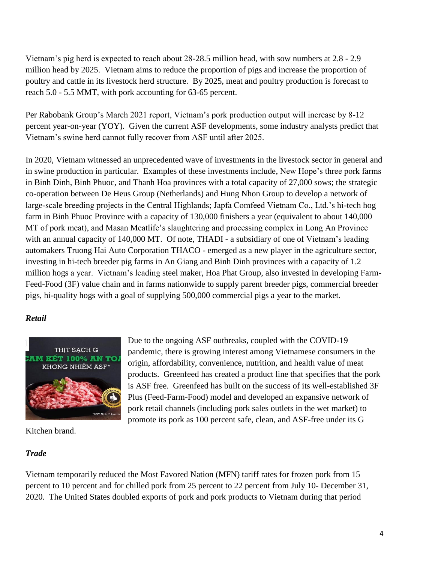Vietnam's pig herd is expected to reach about 28-28.5 million head, with sow numbers at 2.8 - 2.9 million head by 2025. Vietnam aims to reduce the proportion of pigs and increase the proportion of poultry and cattle in its livestock herd structure. By 2025, meat and poultry production is forecast to reach 5.0 - 5.5 MMT, with pork accounting for 63-65 percent.

Per Rabobank Group's March 2021 report, Vietnam's pork production output will increase by 8-12 percent year-on-year (YOY). Given the current ASF developments, some industry analysts predict that Vietnam's swine herd cannot fully recover from ASF until after 2025.

In 2020, Vietnam witnessed an unprecedented wave of investments in the livestock sector in general and in swine production in particular. Examples of these investments include, New Hope's three pork farms in Binh Dinh, Binh Phuoc, and Thanh Hoa provinces with a total capacity of 27,000 sows; the strategic co-operation between De Heus Group (Netherlands) and Hung Nhon Group to develop a network of large-scale breeding projects in the Central Highlands; Japfa Comfeed Vietnam Co., Ltd.'s hi-tech hog farm in Binh Phuoc Province with a capacity of 130,000 finishers a year (equivalent to about 140,000 MT of pork meat), and Masan Meatlife's slaughtering and processing complex in Long An Province with an annual capacity of 140,000 MT. Of note, THADI - a subsidiary of one of Vietnam's leading automakers Truong Hai Auto Corporation THACO - emerged as a new player in the agriculture sector, investing in hi-tech breeder pig farms in An Giang and Binh Dinh provinces with a capacity of 1.2 million hogs a year. Vietnam's leading steel maker, Hoa Phat Group, also invested in developing Farm-Feed-Food (3F) value chain and in farms nationwide to supply parent breeder pigs, commercial breeder pigs, hi-quality hogs with a goal of supplying 500,000 commercial pigs a year to the market.

### *Retail*



Kitchen brand.

#### *Trade*

Due to the ongoing ASF outbreaks, coupled with the COVID-19 pandemic, there is growing interest among Vietnamese consumers in the origin, affordability, convenience, nutrition, and health value of meat products. Greenfeed has created a product line that specifies that the pork is ASF free. Greenfeed has built on the success of its well-established 3F Plus (Feed-Farm-Food) model and developed an expansive network of pork retail channels (including pork sales outlets in the wet market) to promote its pork as 100 percent safe, clean, and ASF-free under its G

Vietnam temporarily reduced the Most Favored Nation (MFN) tariff rates for frozen pork from 15 percent to 10 percent and for chilled pork from 25 percent to 22 percent from July 10- December 31, 2020. The United States doubled exports of pork and pork products to Vietnam during that period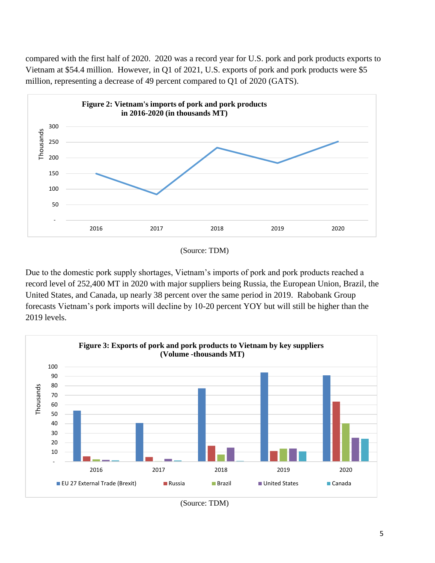compared with the first half of 2020. 2020 was a record year for U.S. pork and pork products exports to Vietnam at \$54.4 million. However, in Q1 of 2021, U.S. exports of pork and pork products were \$5 million, representing a decrease of 49 percent compared to Q1 of 2020 (GATS).



(Source: TDM)

Due to the domestic pork supply shortages, Vietnam's imports of pork and pork products reached a record level of 252,400 MT in 2020 with major suppliers being Russia, the European Union, Brazil, the United States, and Canada, up nearly 38 percent over the same period in 2019. Rabobank Group forecasts Vietnam's pork imports will decline by 10-20 percent YOY but will still be higher than the 2019 levels.



(Source: TDM)